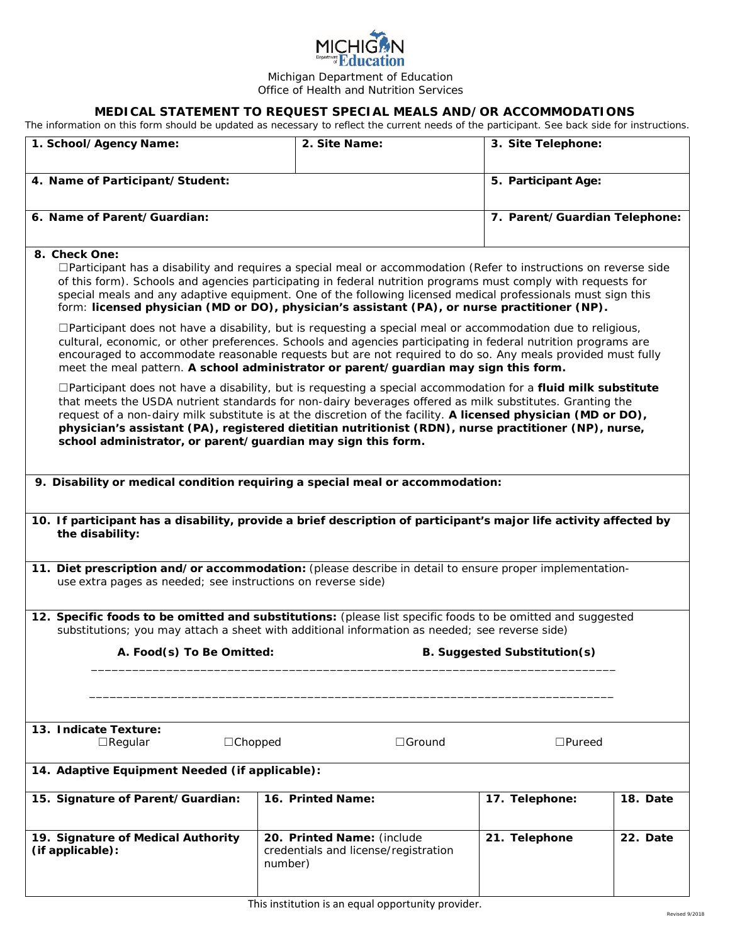| <b>MICHIGAN</b><br><b>Department Education</b> |
|------------------------------------------------|
| Michigan Department of Education               |
| Office of Health and Nutrition Services        |

## **MEDICAL STATEMENT TO REQUEST SPECIAL MEALS AND/OR ACCOMMODATIONS**

The information on this form should be updated as necessary to reflect the current needs of the participant. See back side for instructions.

| 1. School/Agency Name:                                                                                                                                                                                                                                                                                                                                                                                                                                                                                              | 2. Site Name:                                                                 | 3. Site Telephone:            |          |  |
|---------------------------------------------------------------------------------------------------------------------------------------------------------------------------------------------------------------------------------------------------------------------------------------------------------------------------------------------------------------------------------------------------------------------------------------------------------------------------------------------------------------------|-------------------------------------------------------------------------------|-------------------------------|----------|--|
| 4. Name of Participant/Student:                                                                                                                                                                                                                                                                                                                                                                                                                                                                                     |                                                                               | 5. Participant Age:           |          |  |
| 6. Name of Parent/Guardian:                                                                                                                                                                                                                                                                                                                                                                                                                                                                                         |                                                                               | 7. Parent/Guardian Telephone: |          |  |
| 8. Check One:<br>$\Box$ Participant has a disability and <i>requires</i> a special meal or accommodation (Refer to instructions on reverse side<br>of this form). Schools and agencies participating in federal nutrition programs must comply with requests for<br>special meals and any adaptive equipment. One of the following licensed medical professionals must sign this<br>form: licensed physician (MD or DO), physician's assistant (PA), or nurse practitioner (NP).                                    |                                                                               |                               |          |  |
| □Participant does not have a disability, but is requesting a special meal or accommodation due to religious,<br>cultural, economic, or other preferences. Schools and agencies participating in federal nutrition programs are<br>encouraged to accommodate reasonable requests but are not required to do so. Any meals provided must fully<br>meet the meal pattern. A school administrator or parent/guardian may sign this form.                                                                                |                                                                               |                               |          |  |
| □Participant does not have a disability, but is requesting a special accommodation for a fluid milk substitute<br>that meets the USDA nutrient standards for non-dairy beverages offered as milk substitutes. Granting the<br>request of a non-dairy milk substitute is at the discretion of the facility. A licensed physician (MD or DO),<br>physician's assistant (PA), registered dietitian nutritionist (RDN), nurse practitioner (NP), nurse,<br>school administrator, or parent/guardian may sign this form. |                                                                               |                               |          |  |
| 9. Disability or medical condition requiring a special meal or accommodation:                                                                                                                                                                                                                                                                                                                                                                                                                                       |                                                                               |                               |          |  |
| 10. If participant has a disability, provide a brief description of participant's major life activity affected by<br>the disability:                                                                                                                                                                                                                                                                                                                                                                                |                                                                               |                               |          |  |
| 11. Diet prescription and/or accommodation: (please describe in detail to ensure proper implementation-<br>use extra pages as needed; see instructions on reverse side)                                                                                                                                                                                                                                                                                                                                             |                                                                               |                               |          |  |
| 12. Specific foods to be omitted and substitutions: (please list specific foods to be omitted and suggested<br>substitutions; you may attach a sheet with additional information as needed; see reverse side)                                                                                                                                                                                                                                                                                                       |                                                                               |                               |          |  |
| A. Food(s) To Be Omitted:<br><b>B. Suggested Substitution(s)</b>                                                                                                                                                                                                                                                                                                                                                                                                                                                    |                                                                               |                               |          |  |
|                                                                                                                                                                                                                                                                                                                                                                                                                                                                                                                     |                                                                               |                               |          |  |
| 13. Indicate Texture:<br>$\Box$ Chopped<br>$\Box$ Ground<br>$\Box$ Regular                                                                                                                                                                                                                                                                                                                                                                                                                                          |                                                                               | $\square$ Pureed              |          |  |
| 14. Adaptive Equipment Needed (if applicable):                                                                                                                                                                                                                                                                                                                                                                                                                                                                      |                                                                               |                               |          |  |
| 15. Signature of Parent/Guardian:                                                                                                                                                                                                                                                                                                                                                                                                                                                                                   | 16. Printed Name:                                                             | 17. Telephone:                | 18. Date |  |
| 19. Signature of Medical Authority<br>(if applicable):                                                                                                                                                                                                                                                                                                                                                                                                                                                              | 20. Printed Name: (include<br>credentials and license/registration<br>number) | 21. Telephone                 | 22. Date |  |